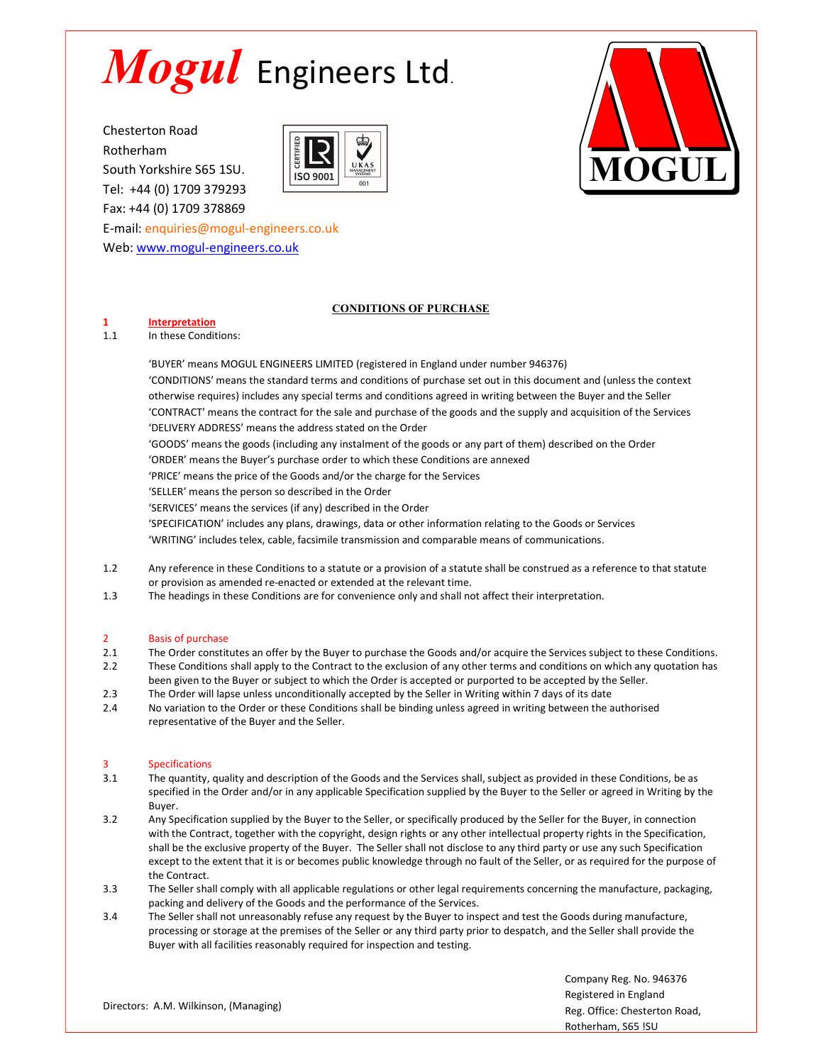South Yorkshire S65 1SU. **South Yorkshire S65 1SU.** South 30 Tel: +44 (0) 1709 379293 Fax: +44 (0) 1709 378869





E-mail: enquiries@mogul-engineers.co.uk Web: www.mogul-engineers.co.uk

# CONDITIONS OF PURCHASE

## 1 Interpretation

### 1.1 In these Conditions:

'BUYER' means MOGUL ENGINEERS LIMITED (registered in England under number 946376) 'CONDITIONS' means the standard terms and conditions of purchase set out in this document and (unless the context otherwise requires) includes any special terms and conditions agreed in writing between the Buyer and the Seller 'CONTRACT' means the contract for the sale and purchase of the goods and the supply and acquisition of the Services 'DELIVERY ADDRESS' means the address stated on the Order 'GOODS' means the goods (including any instalment of the goods or any part of them) described on the Order 'ORDER' means the Buyer's purchase order to which these Conditions are annexed 'PRICE' means the price of the Goods and/or the charge for the Services 'SELLER' means the person so described in the Order 'SERVICES' means the services (if any) described in the Order 'SPECIFICATION' includes any plans, drawings, data or other information relating to the Goods or Services 'WRITING' includes telex, cable, facsimile transmission and comparable means of communications.

- 1.2 Any reference in these Conditions to a statute or a provision of a statute shall be construed as a reference to that statute or provision as amended re-enacted or extended at the relevant time.
- 1.3 The headings in these Conditions are for convenience only and shall not affect their interpretation.

## 2 Basis of purchase

- 2.1 The Order constitutes an offer by the Buyer to purchase the Goods and/or acquire the Services subject to these Conditions.
- 2.2 These Conditions shall apply to the Contract to the exclusion of any other terms and conditions on which any quotation has been given to the Buyer or subject to which the Order is accepted or purported to be accepted by the Seller.
- 2.3 The Order will lapse unless unconditionally accepted by the Seller in Writing within 7 days of its date
- 2.4 No variation to the Order or these Conditions shall be binding unless agreed in writing between the authorised representative of the Buyer and the Seller.

### 3 Specifications

- 3.1 The quantity, quality and description of the Goods and the Services shall, subject as provided in these Conditions, be as specified in the Order and/or in any applicable Specification supplied by the Buyer to the Seller or agreed in Writing by the Buyer.
- 3.2 Any Specification supplied by the Buyer to the Seller, or specifically produced by the Seller for the Buyer, in connection with the Contract, together with the copyright, design rights or any other intellectual property rights in the Specification, shall be the exclusive property of the Buyer. The Seller shall not disclose to any third party or use any such Specification except to the extent that it is or becomes public knowledge through no fault of the Seller, or as required for the purpose of the Contract.
- 3.3 The Seller shall comply with all applicable regulations or other legal requirements concerning the manufacture, packaging, packing and delivery of the Goods and the performance of the Services.
- 3.4 The Seller shall not unreasonably refuse any request by the Buyer to inspect and test the Goods during manufacture, processing or storage at the premises of the Seller or any third party prior to despatch, and the Seller shall provide the Buyer with all facilities reasonably required for inspection and testing.

Directors: A.M. Wilkinson, (Managing)

Company Reg. No. 946376 Registered in England Reg. Office: Chesterton Road, Rotherham, S65 !SU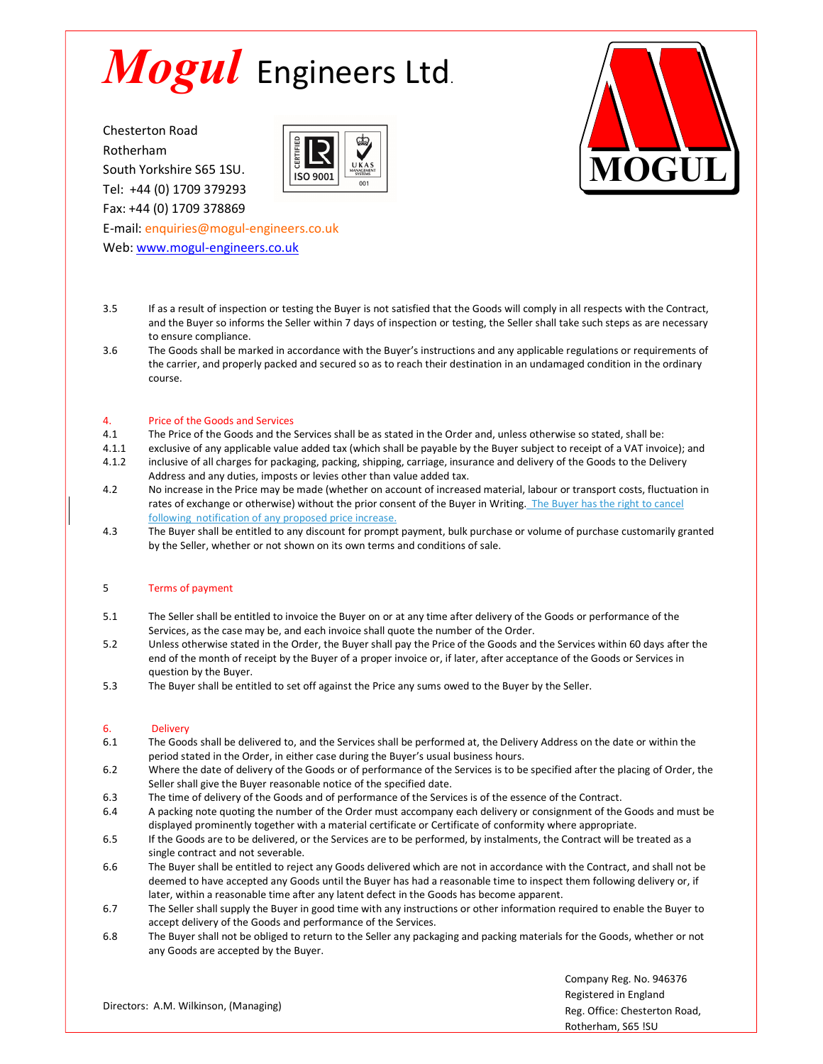South Yorkshire S65 1SU. **South Yorkshire S65 1SU.** South 30 Tel: +44 (0) 1709 379293 Fax: +44 (0) 1709 378869





E-mail: enquiries@mogul-engineers.co.uk Web: www.mogul-engineers.co.uk

- 3.5 If as a result of inspection or testing the Buyer is not satisfied that the Goods will comply in all respects with the Contract, and the Buyer so informs the Seller within 7 days of inspection or testing, the Seller shall take such steps as are necessary to ensure compliance.
- 3.6 The Goods shall be marked in accordance with the Buyer's instructions and any applicable regulations or requirements of the carrier, and properly packed and secured so as to reach their destination in an undamaged condition in the ordinary course.<br>course.<br>Price of the Goods and Services

- 4.1 The Price of the Goods and the Services shall be as stated in the Order and, unless otherwise so stated, shall be:
- 4.1.1 exclusive of any applicable value added tax (which shall be payable by the Buyer subject to receipt of a VAT invoice); and
- 4.1.2 inclusive of all charges for packaging, packing, shipping, carriage, insurance and delivery of the Goods to the Delivery Address and any duties, imposts or levies other than value added tax.
- 4.2 No increase in the Price may be made (whether on account of increased material, labour or transport costs, fluctuation in rates of exchange or otherwise) without the prior consent of the Buyer in Writing. The Buyer has the right to cancel following notification of any proposed price increase.
- 4.3 The Buyer shall be entitled to any discount for prompt payment, bulk purchase or volume of purchase customarily granted by the Seller, whether or not shown on its own terms and conditions of sale.

## 5 Terms of payment

- 5.1 The Seller shall be entitled to invoice the Buyer on or at any time after delivery of the Goods or performance of the Services, as the case may be, and each invoice shall quote the number of the Order.
- 5.2 Unless otherwise stated in the Order, the Buyer shall pay the Price of the Goods and the Services within 60 days after the end of the month of receipt by the Buyer of a proper invoice or, if later, after acceptance of the Goods or Services in question by the Buyer.
- 5.3 The Buyer shall be entitled to set off against the Price any sums owed to the Buyer by the Seller.

## 6. Delivery

- 6.1 The Goods shall be delivered to, and the Services shall be performed at, the Delivery Address on the date or within the period stated in the Order, in either case during the Buyer's usual business hours.
- 6.2 Where the date of delivery of the Goods or of performance of the Services is to be specified after the placing of Order, the Seller shall give the Buyer reasonable notice of the specified date.
- 6.3 The time of delivery of the Goods and of performance of the Services is of the essence of the Contract.
- 6.4 A packing note quoting the number of the Order must accompany each delivery or consignment of the Goods and must be displayed prominently together with a material certificate or Certificate of conformity where appropriate.
- 6.5 If the Goods are to be delivered, or the Services are to be performed, by instalments, the Contract will be treated as a single contract and not severable.
- 6.6 The Buyer shall be entitled to reject any Goods delivered which are not in accordance with the Contract, and shall not be deemed to have accepted any Goods until the Buyer has had a reasonable time to inspect them following delivery or, if later, within a reasonable time after any latent defect in the Goods has become apparent.
- 6.7 The Seller shall supply the Buyer in good time with any instructions or other information required to enable the Buyer to accept delivery of the Goods and performance of the Services.
- 6.8 The Buyer shall not be obliged to return to the Seller any packaging and packing materials for the Goods, whether or not any Goods are accepted by the Buyer.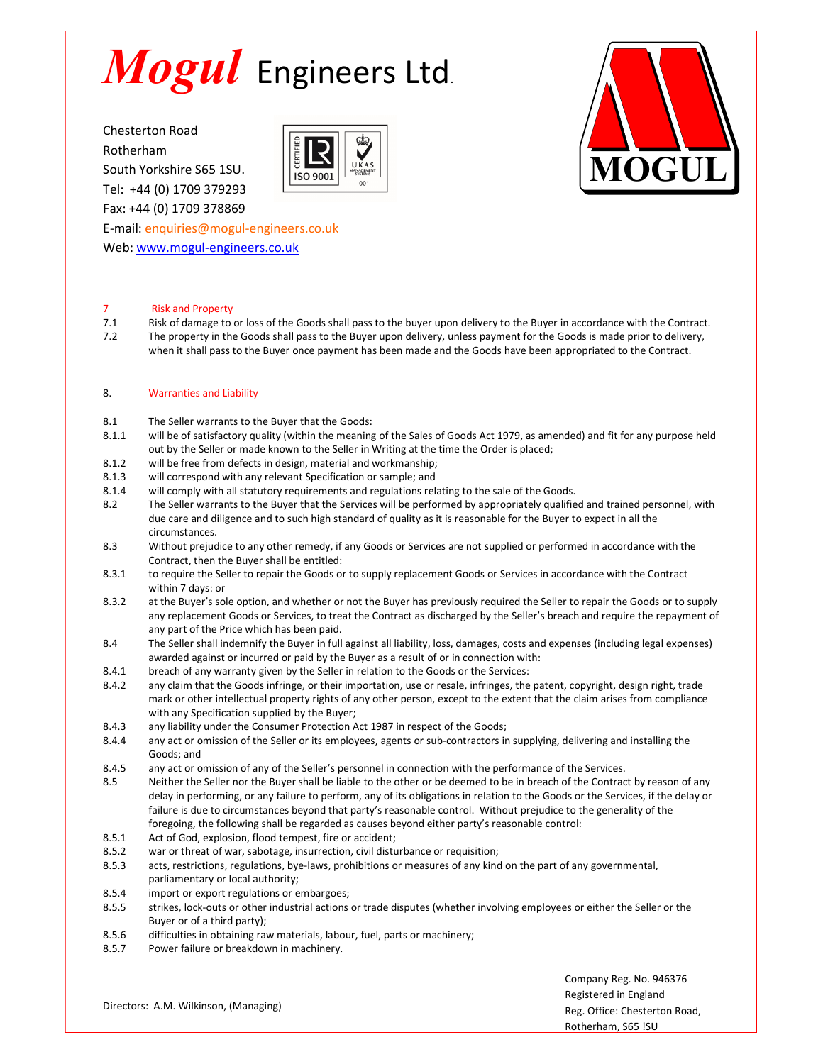South Yorkshire S65 1SU. **South Yorkshire S65 1SU.** South 30 Tel: +44 (0) 1709 379293 Fax: +44 (0) 1709 378869

E-mail: enquiries@mogul-engineers.co.uk

Web: www.mogul-engineers.co.uk





## 7 Risk and Property

7.1 Risk of damage to or loss of the Goods shall pass to the buyer upon delivery to the Buyer in accordance with the Contract. 7.2 The property in the Goods shall pass to the Buyer upon delivery, unless payment for the Goods is made prior to delivery, when it shall pass to the Buyer once payment has been made and the Goods have been appropriated to the Contract.

### 8. Warranties and Liability

- 8.1 The Seller warrants to the Buyer that the Goods:
- 8.1.1 will be of satisfactory quality (within the meaning of the Sales of Goods Act 1979, as amended) and fit for any purpose held out by the Seller or made known to the Seller in Writing at the time the Order is placed;
- 8.1.2 will be free from defects in design, material and workmanship;
- 8.1.3 will correspond with any relevant Specification or sample; and
- 8.1.4 will comply with all statutory requirements and regulations relating to the sale of the Goods.
- 8.2 The Seller warrants to the Buyer that the Services will be performed by appropriately qualified and trained personnel, with due care and diligence and to such high standard of quality as it is reasonable for the Buyer to expect in all the circumstances.
- 8.3 Without prejudice to any other remedy, if any Goods or Services are not supplied or performed in accordance with the Contract, then the Buyer shall be entitled:
- 8.3.1 to require the Seller to repair the Goods or to supply replacement Goods or Services in accordance with the Contract within 7 days: or
- 8.3.2 at the Buyer's sole option, and whether or not the Buyer has previously required the Seller to repair the Goods or to supply any replacement Goods or Services, to treat the Contract as discharged by the Seller's breach and require the repayment of any part of the Price which has been paid.
- 8.4 The Seller shall indemnify the Buyer in full against all liability, loss, damages, costs and expenses (including legal expenses) awarded against or incurred or paid by the Buyer as a result of or in connection with:
- 8.4.1 breach of any warranty given by the Seller in relation to the Goods or the Services:
- 8.4.2 any claim that the Goods infringe, or their importation, use or resale, infringes, the patent, copyright, design right, trade mark or other intellectual property rights of any other person, except to the extent that the claim arises from compliance with any Specification supplied by the Buyer;
- 8.4.3 any liability under the Consumer Protection Act 1987 in respect of the Goods;
- 8.4.4 any act or omission of the Seller or its employees, agents or sub-contractors in supplying, delivering and installing the Goods; and
- 8.4.5 any act or omission of any of the Seller's personnel in connection with the performance of the Services.
- 8.5 Neither the Seller nor the Buyer shall be liable to the other or be deemed to be in breach of the Contract by reason of any delay in performing, or any failure to perform, any of its obligations in relation to the Goods or the Services, if the delay or failure is due to circumstances beyond that party's reasonable control. Without prejudice to the generality of the foregoing, the following shall be regarded as causes beyond either party's reasonable control:
- 8.5.1 Act of God, explosion, flood tempest, fire or accident;
- 8.5.2 war or threat of war, sabotage, insurrection, civil disturbance or requisition;
- 8.5.3 acts, restrictions, regulations, bye-laws, prohibitions or measures of any kind on the part of any governmental, parliamentary or local authority;
- 8.5.4 import or export regulations or embargoes;
- 8.5.5 strikes, lock-outs or other industrial actions or trade disputes (whether involving employees or either the Seller or the Buyer or of a third party);
- 8.5.6 difficulties in obtaining raw materials, labour, fuel, parts or machinery;
- 8.5.7 Power failure or breakdown in machinery.

Company Reg. No. 946376 Registered in England Reg. Office: Chesterton Road, Rotherham, S65 !SU

Directors: A.M. Wilkinson, (Managing)